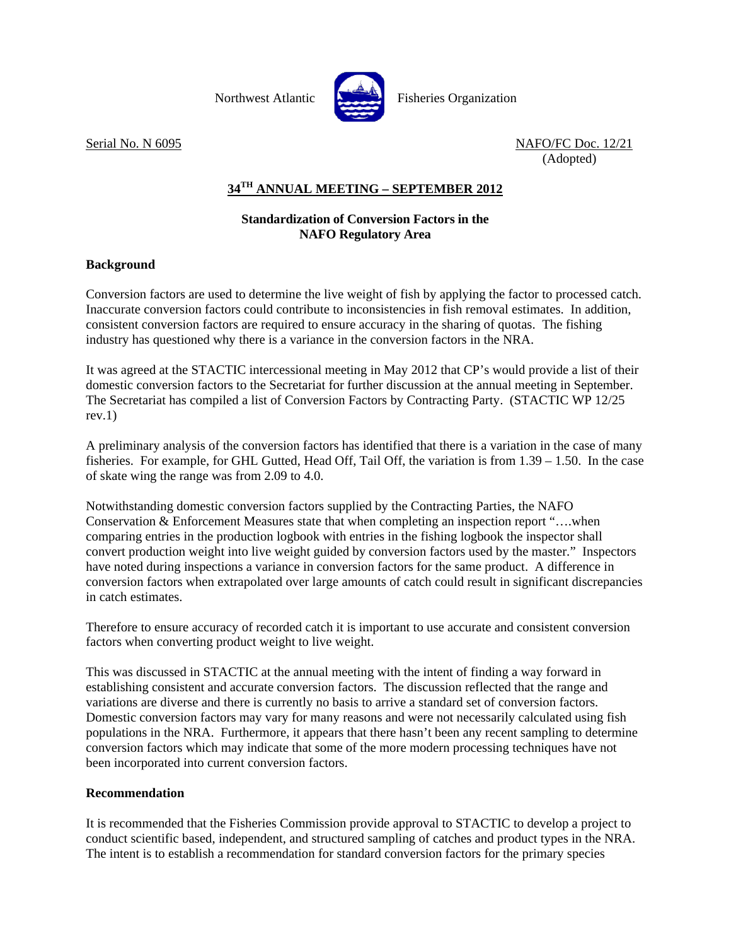

Northwest Atlantic **Northus** Fisheries Organization

Serial No. N 6095 NAFO/FC Doc. 12/21 (Adopted)

## **34TH ANNUAL MEETING – SEPTEMBER 2012**

## **Standardization of Conversion Factors in the NAFO Regulatory Area**

## **Background**

Conversion factors are used to determine the live weight of fish by applying the factor to processed catch. Inaccurate conversion factors could contribute to inconsistencies in fish removal estimates. In addition, consistent conversion factors are required to ensure accuracy in the sharing of quotas. The fishing industry has questioned why there is a variance in the conversion factors in the NRA.

It was agreed at the STACTIC intercessional meeting in May 2012 that CP's would provide a list of their domestic conversion factors to the Secretariat for further discussion at the annual meeting in September. The Secretariat has compiled a list of Conversion Factors by Contracting Party. (STACTIC WP 12/25  $rev.1)$ 

A preliminary analysis of the conversion factors has identified that there is a variation in the case of many fisheries. For example, for GHL Gutted, Head Off, Tail Off, the variation is from 1.39 – 1.50. In the case of skate wing the range was from 2.09 to 4.0.

Notwithstanding domestic conversion factors supplied by the Contracting Parties, the NAFO Conservation & Enforcement Measures state that when completing an inspection report "….when comparing entries in the production logbook with entries in the fishing logbook the inspector shall convert production weight into live weight guided by conversion factors used by the master." Inspectors have noted during inspections a variance in conversion factors for the same product. A difference in conversion factors when extrapolated over large amounts of catch could result in significant discrepancies in catch estimates.

Therefore to ensure accuracy of recorded catch it is important to use accurate and consistent conversion factors when converting product weight to live weight.

This was discussed in STACTIC at the annual meeting with the intent of finding a way forward in establishing consistent and accurate conversion factors. The discussion reflected that the range and variations are diverse and there is currently no basis to arrive a standard set of conversion factors. Domestic conversion factors may vary for many reasons and were not necessarily calculated using fish populations in the NRA. Furthermore, it appears that there hasn't been any recent sampling to determine conversion factors which may indicate that some of the more modern processing techniques have not been incorporated into current conversion factors.

## **Recommendation**

It is recommended that the Fisheries Commission provide approval to STACTIC to develop a project to conduct scientific based, independent, and structured sampling of catches and product types in the NRA. The intent is to establish a recommendation for standard conversion factors for the primary species